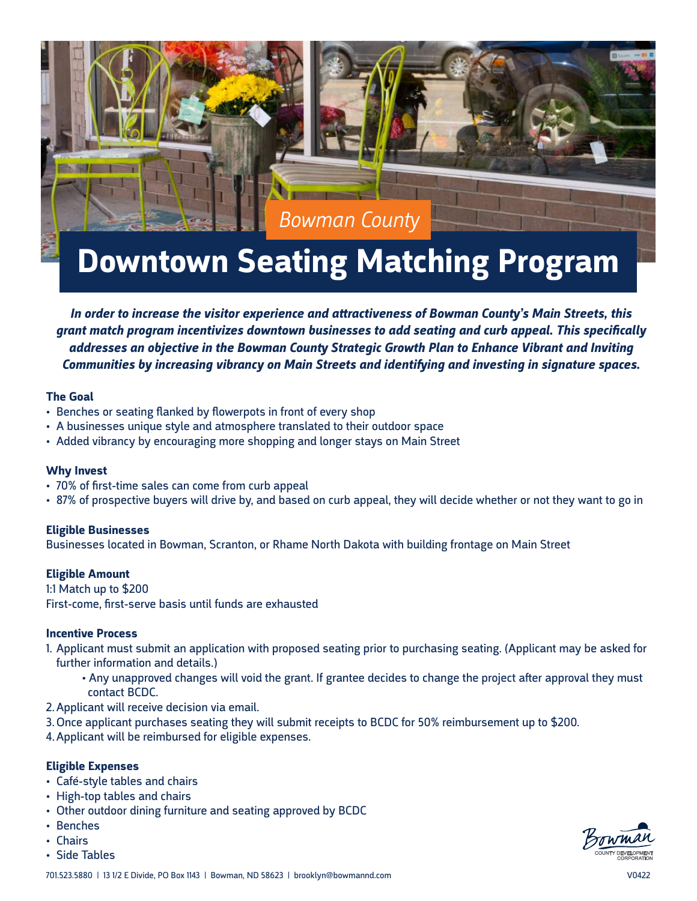

# **Downtown Seating Matching Program**

*In order to increase the visitor experience and attractiveness of Bowman County's Main Streets, this grant match program incentivizes downtown businesses to add seating and curb appeal. This specifically addresses an objective in the Bowman County Strategic Growth Plan to Enhance Vibrant and Inviting Communities by increasing vibrancy on Main Streets and identifying and investing in signature spaces.*

#### **The Goal**

- Benches or seating flanked by flowerpots in front of every shop
- A businesses unique style and atmosphere translated to their outdoor space
- Added vibrancy by encouraging more shopping and longer stays on Main Street

#### **Why Invest**

- 70% of first-time sales can come from curb appeal
- 87% of prospective buyers will drive by, and based on curb appeal, they will decide whether or not they want to go in

#### **Eligible Businesses**

Businesses located in Bowman, Scranton, or Rhame North Dakota with building frontage on Main Street

#### **Eligible Amount**

1:1 Match up to \$200 First-come, first-serve basis until funds are exhausted

#### **Incentive Process**

- 1. Applicant must submit an application with proposed seating prior to purchasing seating. (Applicant may be asked for further information and details.)
	- Any unapproved changes will void the grant. If grantee decides to change the project after approval they must contact BCDC.
- 2.Applicant will receive decision via email.
- 3.Once applicant purchases seating they will submit receipts to BCDC for 50% reimbursement up to \$200.
- 4.Applicant will be reimbursed for eligible expenses.

#### **Eligible Expenses**

- Café-style tables and chairs
- High-top tables and chairs
- Other outdoor dining furniture and seating approved by BCDC
- Benches
- Chairs
- Side Tables

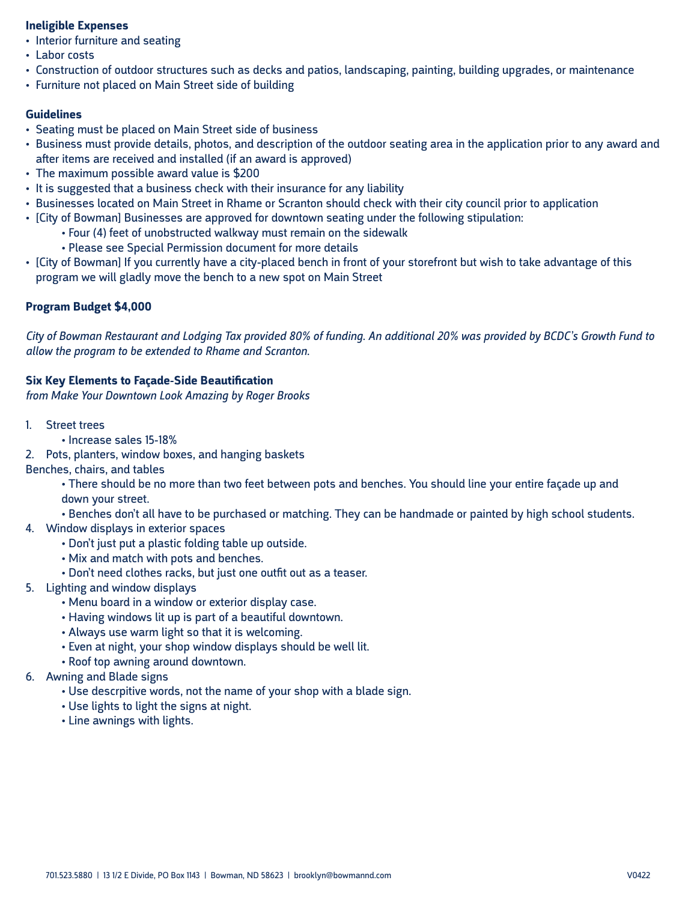### **Ineligible Expenses**

- Interior furniture and seating
- Labor costs
- Construction of outdoor structures such as decks and patios, landscaping, painting, building upgrades, or maintenance
- Furniture not placed on Main Street side of building

### **Guidelines**

- Seating must be placed on Main Street side of business
- Business must provide details, photos, and description of the outdoor seating area in the application prior to any award and after items are received and installed (if an award is approved)
- The maximum possible award value is \$200
- It is suggested that a business check with their insurance for any liability
- Businesses located on Main Street in Rhame or Scranton should check with their city council prior to application
- [City of Bowman] Businesses are approved for downtown seating under the following stipulation:
	- Four (4) feet of unobstructed walkway must remain on the sidewalk
	- Please see Special Permission document for more details
- [City of Bowman] If you currently have a city-placed bench in front of your storefront but wish to take advantage of this program we will gladly move the bench to a new spot on Main Street

# **Program Budget \$4,000**

*City of Bowman Restaurant and Lodging Tax provided 80% of funding. An additional 20% was provided by BCDC's Growth Fund to allow the program to be extended to Rhame and Scranton.*

## **Six Key Elements to Façade-Side Beautification**

*from Make Your Downtown Look Amazing by Roger Brooks*

- 1. Street trees
	- Increase sales 15-18%
- 2. Pots, planters, window boxes, and hanging baskets

Benches, chairs, and tables

• There should be no more than two feet between pots and benches. You should line your entire façade up and down your street.

- Benches don't all have to be purchased or matching. They can be handmade or painted by high school students.
- 4. Window displays in exterior spaces
	- Don't just put a plastic folding table up outside.
	- Mix and match with pots and benches.
	- Don't need clothes racks, but just one outfit out as a teaser.
- 5. Lighting and window displays
	- Menu board in a window or exterior display case.
	- Having windows lit up is part of a beautiful downtown.
	- Always use warm light so that it is welcoming.
	- Even at night, your shop window displays should be well lit.
	- Roof top awning around downtown.
- 6. Awning and Blade signs
	- Use descrpitive words, not the name of your shop with a blade sign.
	- Use lights to light the signs at night.
	- Line awnings with lights.